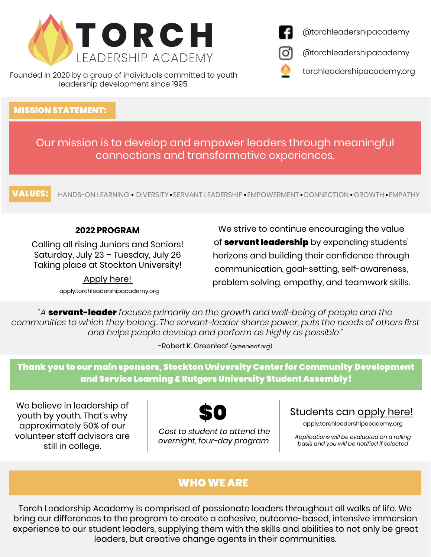

Founded in 2020 by a group of individuals committed to youth leadership development since 1995.

#### MISSION STATEMENT:

Our mission is to develop and empower leaders through meaningful connections and transformative experiences.

VALUES: HANDS-ON LEARNING • DIVERSITY • SERVANT LEADERSHIP • EMPOWERMENT • CONNECTION • GROWTH • EMPATHY

#### **2022 PROGRAM**

Calling all rising Juniors and Seniors! Saturday, July 23 – Tuesday, July 26 Taking place at Stockton University!

> [Apply here!](https://torchleadershipacademy.org/) [apply.torchleadershipacademy.org](https://torchleadershipacademy.org/)

We strive to continue encouraging the value of **servant leadership** by expanding students' horizons and building their confidence through communication, goal-setting, self-awareness, problem solving, empathy, and teamwork skills.

*"A* servant-leader *focuses primarily on the growth and well-being of people and the communities to which they belong...The servant-leader shares power, puts the needs of others first and helps people develop and perform as highly as possible."*

-Robert K. Greenleaf (*greenleaf.org*)

Thank you to our main sponsors, Stockton University Center for Community Development and Service Learning & Rutgers University Student Assembly!

We believe in leadership of youth by youth. That's why approximately 50% of our volunteer staff advisors are still in college.



 *Cost to student to attend the overnight, four-day program*

# Students can [apply here](https://torchleadershipacademy.org/)!

apply.torchleadershipacademy.org

*Applications will be evaluated on a rolling b[asis and you will be notified if selected](https://torchleadershipacademy.org/)*

## WHO WE ARE

Torch Leadership Academy is comprised of passionate leaders throughout all walks of life. We bring our differences to the program to create a cohesive, outcome-based, intensive immersion experience to our student leaders, supplying them with the skills and abilities to not only be great leaders, but creative change agents in their communities.





[@torchleadershipacademy](https://www.facebook.com/torchleadershipacademy/)

[@torchleadershipacademy](https://www.instagram.com/torchleadershipacademy/)

[torchleadershipacademy.org](https://torchleadershipacademy.org/)